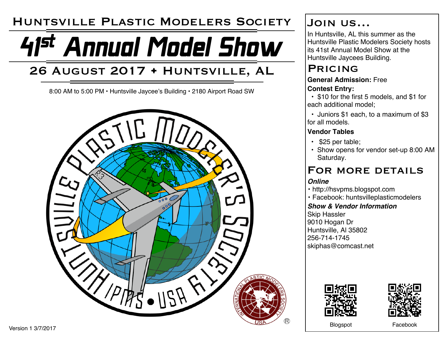# Huntsville Plastic Modelers Society

# 41st Annual Model Show

# 26 August 2017 • Huntsville, AL

8:00 AM to 5:00 PM • Huntsville Jaycee's Building • 2180 Airport Road SW



## Join us…

In Huntsville, AL this summer as the Huntsville Plastic Modelers Society hosts its 41st Annual Model Show at the Huntsville Jaycees Building.

## **PRICING**

#### **General Admission:** Free **Contest Entry:**

• \$10 for the first 5 models, and \$1 for each additional model;

• Juniors \$1 each, to a maximum of \$3 for all models.

#### **Vendor Tables**

- \$25 per table;
- Show opens for vendor set-up 8:00 AM Saturday.

### FOR MORE DETAILS

#### *Online*

- http://hsvpms.blogspot.com
- Facebook: huntsvilleplasticmodelers

#### *Show & Vendor Information*

Skip Hassler 9010 Hogan Dr Huntsville, Al 35802 256-714-1745 skiphas@comcast.net